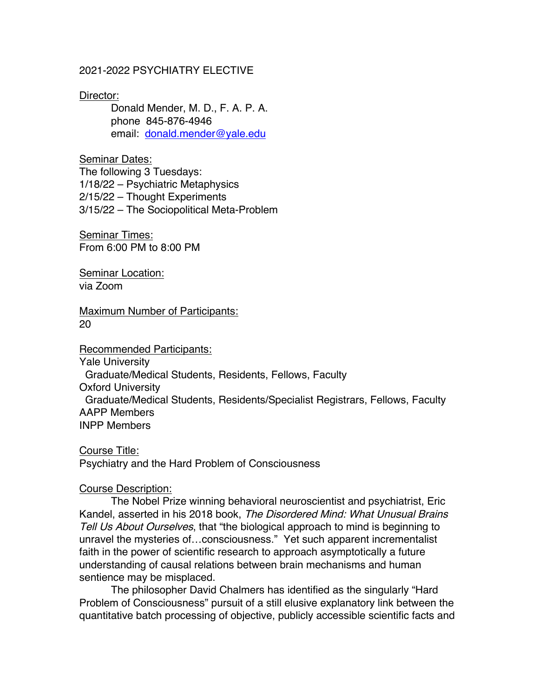### 2021-2022 PSYCHIATRY ELECTIVE

#### Director:

Donald Mender, M. D., F. A. P. A. phone 845-876-4946 email: donald.mender@yale.edu

#### Seminar Dates:

The following 3 Tuesdays: 1/18/22 – Psychiatric Metaphysics 2/15/22 – Thought Experiments 3/15/22 – The Sociopolitical Meta-Problem

Seminar Times: From 6:00 PM to 8:00 PM

Seminar Location: via Zoom

Maximum Number of Participants: 20

# Recommended Participants:

Yale University Graduate/Medical Students, Residents, Fellows, Faculty Oxford University Graduate/Medical Students, Residents/Specialist Registrars, Fellows, Faculty AAPP Members INPP Members

Course Title: Psychiatry and the Hard Problem of Consciousness

### Course Description:

The Nobel Prize winning behavioral neuroscientist and psychiatrist, Eric Kandel, asserted in his 2018 book, The Disordered Mind: What Unusual Brains Tell Us About Ourselves, that "the biological approach to mind is beginning to unravel the mysteries of…consciousness." Yet such apparent incrementalist faith in the power of scientific research to approach asymptotically a future understanding of causal relations between brain mechanisms and human sentience may be misplaced.

The philosopher David Chalmers has identified as the singularly "Hard Problem of Consciousness" pursuit of a still elusive explanatory link between the quantitative batch processing of objective, publicly accessible scientific facts and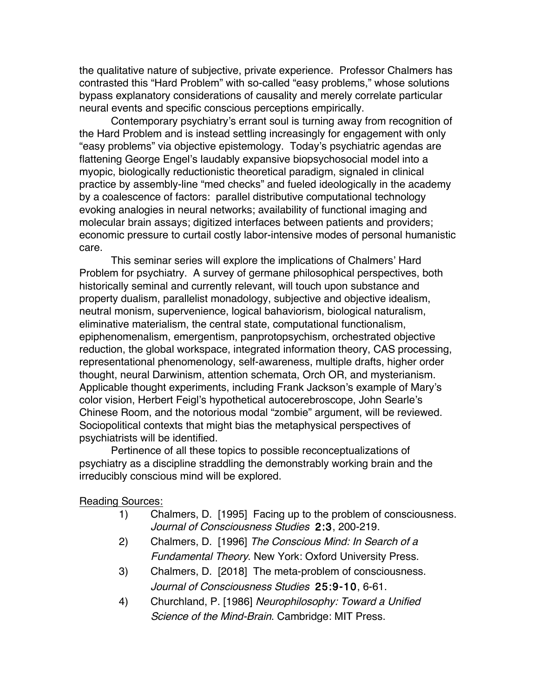the qualitative nature of subjective, private experience. Professor Chalmers has contrasted this "Hard Problem" with so-called "easy problems," whose solutions bypass explanatory considerations of causality and merely correlate particular neural events and specific conscious perceptions empirically.

Contemporary psychiatry's errant soul is turning away from recognition of the Hard Problem and is instead settling increasingly for engagement with only "easy problems" via objective epistemology. Today's psychiatric agendas are flattening George Engel's laudably expansive biopsychosocial model into a myopic, biologically reductionistic theoretical paradigm, signaled in clinical practice by assembly-line "med checks" and fueled ideologically in the academy by a coalescence of factors: parallel distributive computational technology evoking analogies in neural networks; availability of functional imaging and molecular brain assays; digitized interfaces between patients and providers; economic pressure to curtail costly labor-intensive modes of personal humanistic care.

This seminar series will explore the implications of Chalmers' Hard Problem for psychiatry. A survey of germane philosophical perspectives, both historically seminal and currently relevant, will touch upon substance and property dualism, parallelist monadology, subjective and objective idealism, neutral monism, supervenience, logical bahaviorism, biological naturalism, eliminative materialism, the central state, computational functionalism, epiphenomenalism, emergentism, panprotopsychism, orchestrated objective reduction, the global workspace, integrated information theory, CAS processing, representational phenomenology, self-awareness, multiple drafts, higher order thought, neural Darwinism, attention schemata, Orch OR, and mysterianism. Applicable thought experiments, including Frank Jackson's example of Mary's color vision, Herbert Feigl's hypothetical autocerebroscope, John Searle's Chinese Room, and the notorious modal "zombie" argument, will be reviewed. Sociopolitical contexts that might bias the metaphysical perspectives of psychiatrists will be identified.

Pertinence of all these topics to possible reconceptualizations of psychiatry as a discipline straddling the demonstrably working brain and the irreducibly conscious mind will be explored.

### Reading Sources:

- 1) Chalmers, D. [1995] Facing up to the problem of consciousness. Journal of Consciousness Studies 2:3, 200-219.
- 2) Chalmers, D. [1996] The Conscious Mind: In Search of a Fundamental Theory. New York: Oxford University Press.
- 3) Chalmers, D. [2018] The meta-problem of consciousness. Journal of Consciousness Studies 25:9-10, 6-61.
- 4) Churchland, P. [1986] Neurophilosophy: Toward a Unified Science of the Mind-Brain. Cambridge: MIT Press.